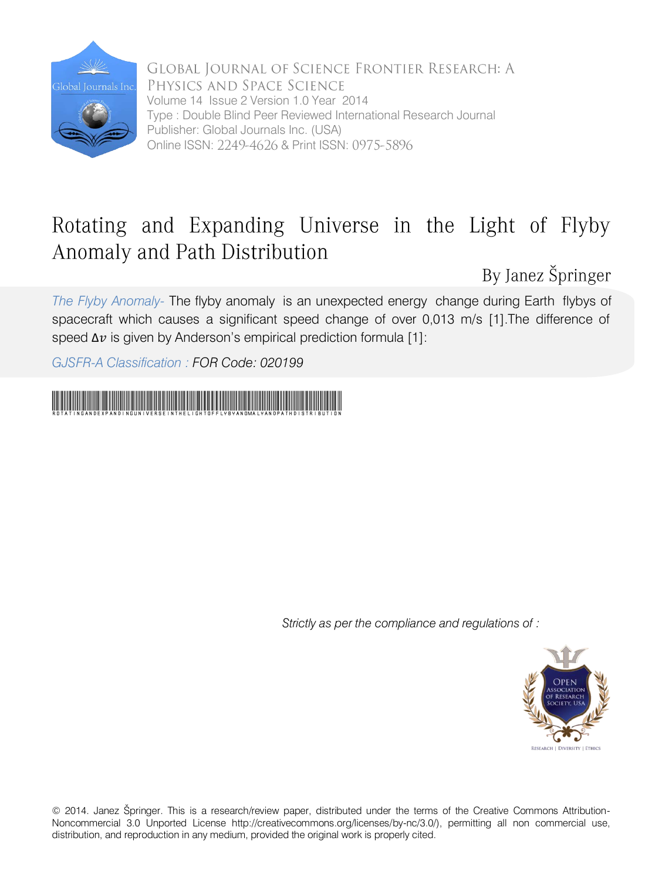

GLOBAL JOURNAL OF SCIENCE FRONTIER RESEARCH: A PHYSICS AND SPACE SCIENCE Volume 14 Issue 2 Version 1.0 Year 2014 Type : Double Blind Peer Reviewed International Research Journal Publisher: Global Journals Inc. (USA) Online ISSN: 2249-4626 & Print ISSN: 0975-5896

### Rotating and Expanding Universe in the Light of Flyby Anomaly and Path Distribution

By Janez Špringer

*The Flyby Anomaly-* The flyby anomaly is an unexpected energy change during Earth flybys of spacecraft which causes a significant speed change of over 0,013 m/s [1].The difference of speed  $\Delta v$  is given by Anderson's empirical prediction formula [1]:

*GJSFR-A Classification : FOR Code: 020199*

# RotatingandExpandingUniverseintheLightofFlybyAnomalyandPathDistribution

*Strictly as per the compliance and regulations of :* 



© 2014. Janez Špringer. This is a research/review paper, distributed under the terms of the Creative Commons Attribution-Noncommercial 3.0 Unported License http://creativecommons.org/licenses/by-nc/3.0/), permitting all non commercial use, distribution, and reproduction in any medium, provided the original work is properly cited.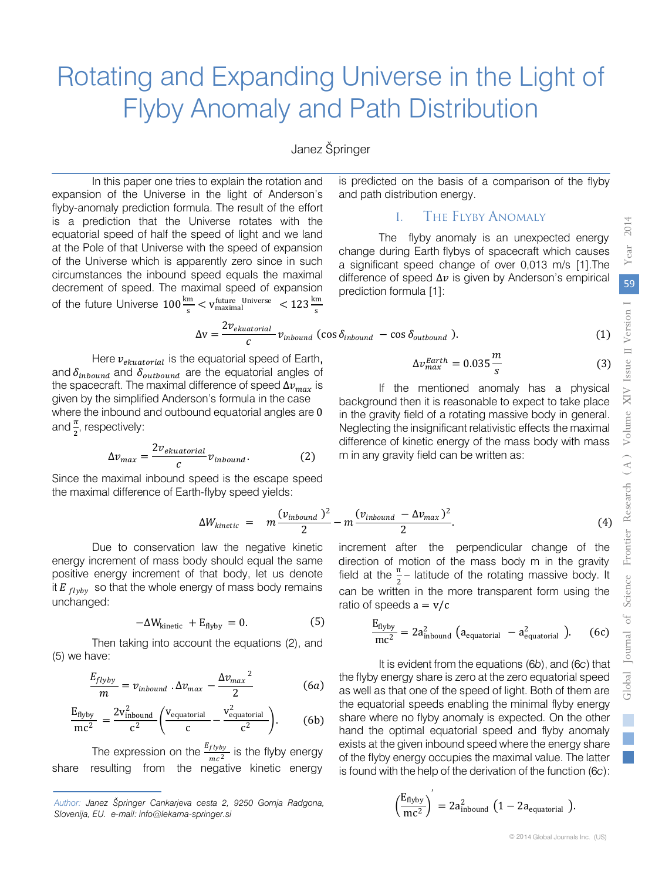## Rotating and Expanding Universe in the Light of Flyby Anomaly and Path Distribution

#### Janez Špringer

In this paper one tries to explain the rotation and expansion of the Universe in the light of Anderson's flyby-anomaly prediction formula. The result of the effort is a prediction that the Universe rotates with the equatorial speed of half the speed of light and we land at the Pole of that Universe with the speed of expansion of the Universe which is apparently zero since in such circumstances the inbound speed equals the maximal decrement of speed. The maximal speed of expansion of the future Universe  $100 \frac{\text{km}}{\text{s}} < v_{\text{maximal}}^{\text{future Universe}} < 123 \frac{\text{km}}{\text{s}}$ 

is predicted on the basis of a comparison of the flyby and path distribution energy.

#### I. The Flyby Anomaly

The flyby anomaly is an unexpected energy change during Earth flybys of spacecraft which causes a significant speed change of over 0,013 m/s [1].The difference of speed  $\Delta v$  is given by Anderson's empirical prediction formula [1]:

s

$$
\Delta v = \frac{2v_{ekuatorial}}{c} v_{inbound} \text{ (cos } \delta_{inbound} - \cos \delta_{outbound} \text{ ).}
$$
 (1)

 $\Delta v_{max}^{Earth} = 0.035 \frac{m}{g}$ 

m in any gravity field can be written as:

and  $\delta_{inbound}$  and  $\delta_{outbound}$  are the equatorial angles of Here  $v_{ekuationial}$  is the equatorial speed of Earth, the spacecraft. The maximal difference of speed  $\Delta v_{max}$  is given by the simplified Anderson's formula in the case where the inbound and outbound equatorial angles are 0 and  $\frac{\pi}{2}$ , respectively:

$$
\Delta v_{max} = \frac{2v_{ekuatorial}}{c} v_{inbound}.
$$
 (2)

Since the maximal inbound speed is the escape speed the maximal difference of Earth-flyby speed yields:

$$
\Delta W_{kinetic} = m \frac{(v_{inbound})^2}{2} - m \frac{(v_{inbound} - \Delta v_{max})^2}{2}.
$$
\n(4)

Due to conservation law the negative kinetic energy increment of mass body should equal the same positive energy increment of that body, let us denote it  $E_{flyby}$  so that the whole energy of mass body remains unchanged:

$$
-\Delta W_{\text{kinetic}} + E_{\text{flyby}} = 0. \tag{5}
$$

Then taking into account the equations (2), and (5) we have:

$$
\frac{E_{flyby}}{m} = v_{inbound} \cdot \Delta v_{max} - \frac{\Delta v_{max}^2}{2}
$$
 (6a)

$$
\frac{E_{flyby}}{mc^2} = \frac{2v_{\text{inbound}}^2}{c^2} \left( \frac{v_{\text{equatorial}}}{c} - \frac{v_{\text{equatorial}}^2}{c^2} \right). \tag{6b}
$$

The expression on the  $\frac{E_{flyby}}{mc^2}$  is the flyby energy share resulting from the negative kinetic energy

increment after the perpendicular change of the field at the  $\frac{\pi}{2}$  – latitude of the rotating massive body. It can be written in the more transparent form using the ratio of speeds  $a = v/c$ direction of motion of the mass body m in the gravity

$$
\frac{E_{flyby}}{mc^2} = 2a_{\text{inbound}}^2 \left( a_{\text{equatorial}} - a_{\text{equatorial}}^2 \right). \tag{6c}
$$

 of the flyby energy occupies the maximal value. The latter It is evident from the equations (6*b*), and (6*c*) that the flyby energy share is zero at the zero equatorial speed as well as that one of the speed of light. Both of them are the equatorial speeds enabling the minimal flyby energy share where no flyby anomaly is expected. On the other hand the optimal equatorial speed and flyby anomaly exists at the given inbound speed where the energy share is found with the help of the derivation of the function (6*c*):

$$
\left(\frac{E_{\text{flyby}}}{mc^2}\right)^{ } = 2a_{\text{inbound}}^2 \left(1 - 2a_{\text{equatorial}}\right).
$$

*Author: Janez Špringer Cankarjeva cesta 2, 9250 Gornja Radgona, Slovenija, EU. e-mail: info@lekarna-springer.si*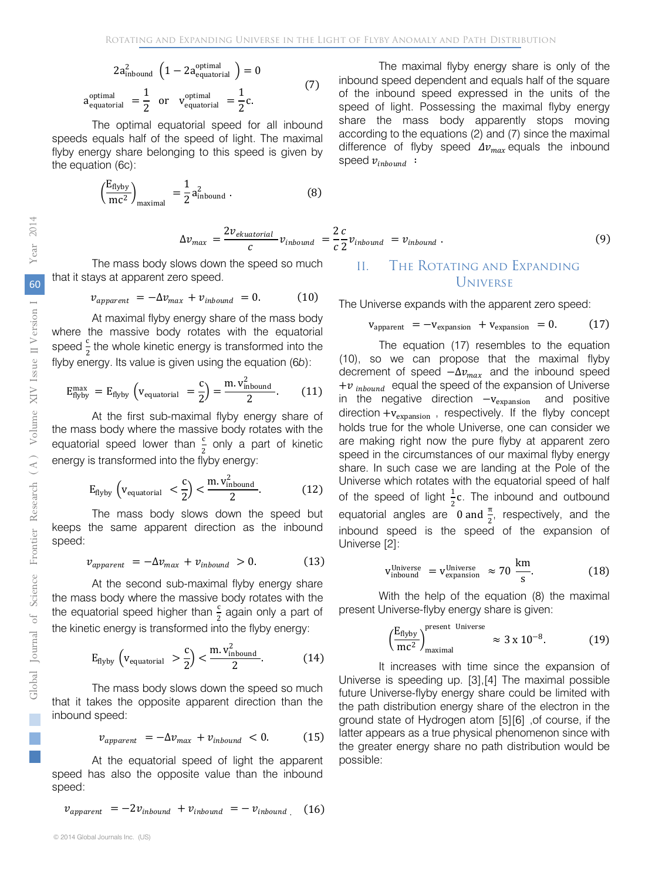$$
2a_{\text{inbound}}^{2} \left(1 - 2a_{\text{equatorial}}^{\text{optimal}}\right) = 0
$$
\n
$$
a_{\text{equatorial}}^{\text{optimal}} = \frac{1}{2} \text{ or } v_{\text{equatorial}}^{\text{optimal}} = \frac{1}{2}c.
$$
\n(7)

The optimal equatorial speed for all inbound speeds equals half of the speed of light. The maximal flyby energy share belonging to this speed is given by the equation (6c):

$$
\left(\frac{E_{\text{flyby}}}{mc^2}\right)_{\text{maximal}} = \frac{1}{2} a_{\text{inbound}}^2 \,. \tag{8}
$$

$$
\Delta v_{max} = \frac{2v_{ekuatorial}}{c} v_{inbound} = \frac{2 c}{c} v_{inbound} = v_{inbound}.
$$
\n(9)

speed  $v_{inbound}$ :

The mass body slows down the speed so much that it stays at apparent zero speed.

$$
v_{apparent} = -\Delta v_{max} + v_{inbound} = 0. \qquad (10)
$$

At maximal flyby energy share of the mass body where the massive body rotates with the equatorial speed  $\frac{c}{a}$  the whole kinetic energy is transformed into the 2 flyby energy. Its value is given using the equation (6*b*):

$$
E_{\text{flyby}}^{\text{max}} = E_{\text{flyby}} \left( v_{\text{equatorial}} = \frac{c}{2} \right) = \frac{\text{m.} \, v_{\text{inbound}}^2}{2}. \tag{11}
$$

At the first sub-maximal flyby energy share of the mass body where the massive body rotates with the equatorial speed lower than  $\frac{c}{2}$  only a part of kinetic energy is transformed into the flyby energy:

$$
E_{\text{flyby}}\left(v_{\text{equatorial}} \leq \frac{c}{2}\right) < \frac{m.v_{\text{inbound}}^2}{2}.\tag{12}
$$

The mass body slows down the speed but keeps the same apparent direction as the inbound speed:

$$
v_{apparent} = -\Delta v_{max} + v_{inbound} > 0. \tag{13}
$$

At the second sub-maximal flyby energy share the equatorial speed higher than  $\frac{c}{2}$  again only a part of the kinetic energy is transformed into the flyby energy: the mass body where the massive body rotates with the

$$
E_{\text{flyby}}\left(v_{\text{equatorial}}\right) > \frac{c}{2}\right) < \frac{m.v_{\text{inbound}}^2}{2}.\tag{14}
$$

The mass body slows down the speed so much that it takes the opposite apparent direction than the inbound speed:

$$
v_{apparent} = -\Delta v_{max} + v_{inbound} < 0. \tag{15}
$$

At the equatorial speed of light the apparent speed has also the opposite value than the inbound speed:

$$
v_{apparent} = -2v_{inbound} + v_{inbound} = -v_{inbound}
$$
 (16)

### II. The Rotating and Expanding Universe

The Universe expands with the apparent zero speed:

$$
v_{apparent} = -v_{expansion} + v_{expansion} = 0.
$$
 (17)

The maximal flyby energy share is only of the

inbound speed dependent and equals half of the square of the inbound speed expressed in the units of the speed of light. Possessing the maximal flyby energy share the mass body apparently stops moving according to the equations (2) and (7) since the maximal difference of flyby speed  $\Delta v_{max}$  equals the inbound

The equation (17) resembles to the equation (10), so we can propose that the maximal flyby decrement of speed  $-\Delta v_{max}$  and the inbound speed + $v_{\text{inbound}}$  equal the speed of the expansion of Universe<br>in the negative direction  $-v_{\text{expansion}}$  and positive in the negative direction  $-v_{expansion}$ direction  $+v_{expansion}$ , respectively. If the flyby concept holds true for the whole Universe, one can consider we are making right now the pure flyby at apparent zero speed in the circumstances of our maximal flyby energy share. In such case we are landing at the Pole of the Universe which rotates with the equatorial speed of half of the speed of light  $\frac{1}{2}$ c. The inbound and outbound equatorial angles are  $0$  and  $\frac{\pi}{2}$ , respectively, and the inbound speed is the speed of the expansion of Universe [2]:

$$
v_{\text{inbound}}^{\text{Universe}} = v_{\text{expansion}}^{\text{Universe}} \approx 70 \frac{\text{km}}{\text{s}}.
$$
 (18)

With the help of the equation (8) the maximal present Universe-flyby energy share is given:

$$
\left(\frac{E_{\text{flyby}}}{mc^2}\right)_{\text{maximal}}^{\text{present Universe}} \approx 3 \times 10^{-8}.
$$
 (19)

It increases with time since the expansion of Universe is speeding up. [3],[4] The maximal possible future Universe-flyby energy share could be limited with the path distribution energy share of the electron in the ground state of Hydrogen atom [5][6] ,of course, if the latter appears as a true physical phenomenon since with the greater energy share no path distribution would be possible:

T.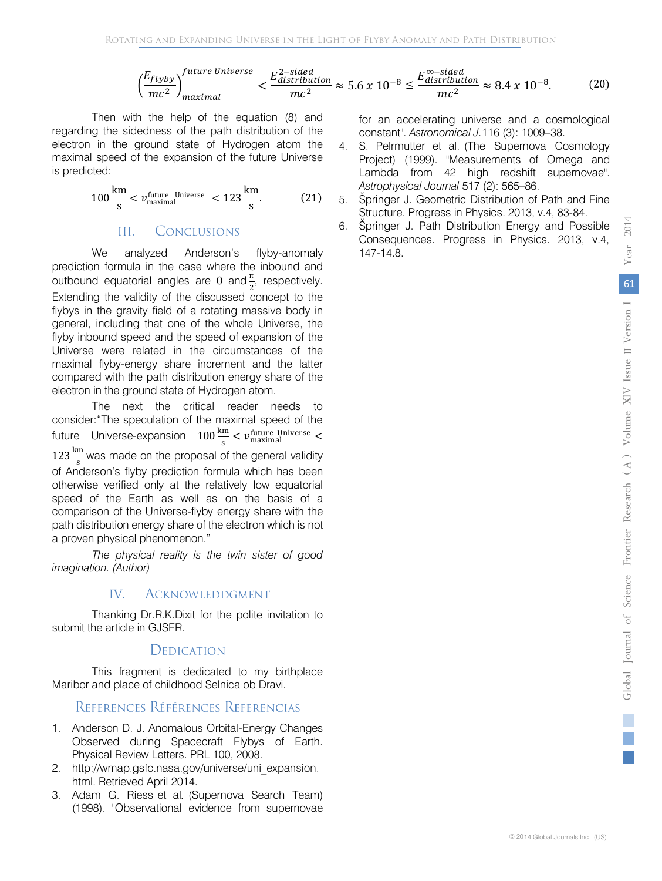$$
\left(\frac{E_{flyby}}{mc^2}\right)_{maximal}^{future\ University} < \frac{E_{distribution}^{2-sided}}{mc^2} \approx 5.6 \times 10^{-8} \le \frac{E_{distribution}^{\infty-sided}}{mc^2} \approx 8.4 \times 10^{-8}.\tag{20}
$$

Then with the help of the equation (8) and regarding the sidedness of the path distribution of the electron in the ground state of Hydrogen atom the maximal speed of the expansion of the future Universe is predicted:

$$
100 \frac{\text{km}}{\text{s}} < v_{\text{maximal}}^{\text{future Universe}} < 123 \frac{\text{km}}{\text{s}}.\tag{21}
$$

#### III. Conclusions

We analyzed Anderson's flyby-anomaly prediction formula in the case where the inbound and outbound equatorial angles are 0 and  $\frac{\pi}{2}$ , respectively. 2 Extending the validity of the discussed concept to the flybys in the gravity field of a rotating massive body in general, including that one of the whole Universe, the flyby inbound speed and the speed of expansion of the Universe were related in the circumstances of the maximal flyby-energy share increment and the latter compared with the path distribution energy share of the electron in the ground state of Hydrogen atom.

The next the critical reader needs to consider:"The speculation of the maximal speed of the future Universe-expansion 100 $\frac{\text{km}}{\text{s}} < v_{\text{maximal}}^{\text{future Universe}} <$  $123 \frac{\text{km}}{\text{s}}$  was made on the proposal of the general validity of Anderson's flyby prediction formula which has been otherwise verified only at the relatively low equatorial speed of the Earth as well as on the basis of a comparison of the Universe-flyby energy share with the path distribution energy share of the electron which is not a proven physical phenomenon."

*The physical reality is the twin sister of good imagination. (Author)*

#### IV. **ACKNOWLEDDGMENT**

Thanking Dr.R.K.Dixit for the polite invitation to submit the article in GJSFR.

### DEDICATION

 This fragment is dedicated to my birthplace Maribor and place of childhood Selnica ob Dravi.

### REFERENCES RÉFÉRENCES REFERENCIAS

- 1. Anderson D. J. Anomalous Orbital-Energy Changes Observed during Spacecraft Flybys of Earth. Physical Review Letters. PRL 100, 2008.
- 2. http://wmap.gsfc.nasa.gov/universe/uni\_expansion. html. Retrieved April 2014.
- 3. Adam G. Riess et al. (Supernova Search Team) (1998). "Observational evidence from supernovae

for an accelerating universe and a cosmological constant". *Astronomical J.*116 (3): 1009–38.

- 4. S. Pelrmutter et al. (The Supernova Cosmology Project) (1999). "Measurements of Omega and Lambda from 42 high redshift supernovae". *Astrophysical Journal* 517 (2): 565–86.
- 5. Špringer J. Geometric Distribution of Path and Fine Structure. Progress in Physics. 2013, v.4, 83-84.
- 6. Špringer J. Path Distribution Energy and Possible Consequences. Progress in Physics. 2013, v.4, 147-14.8.